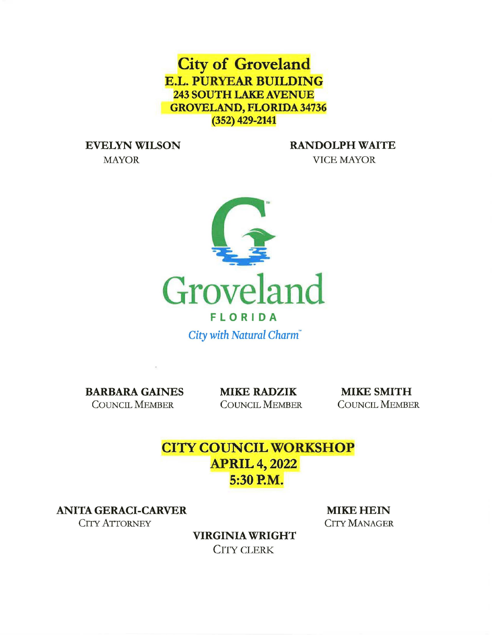**City of Groveland E.L. PURYEAR BUILDING 243 SOUTH LAKE AVENUE GROVELAND, FLORIDA 34736 (352) 429-2141** 

MAYOR VICE MAYOR

**EVELYN WILSON RANDOLPH WAITE** 



*City with Natural Charm"* 

**BARBARA GAINES MIKE RADZIK MIKE SMITH** COUNCIL MEMBER COUNCIL MEMBER COUNCIL MEMBER

# **CITY COUNCIL WORKSHOP APRIL 4, 2022 5:30 P.M.**

**ANITA GERACI-CARVER MIKE HEIN** 

CITY ATTORNEY CITY MANAGER

**VIRGINIA WRIGHT**  CITY CLERK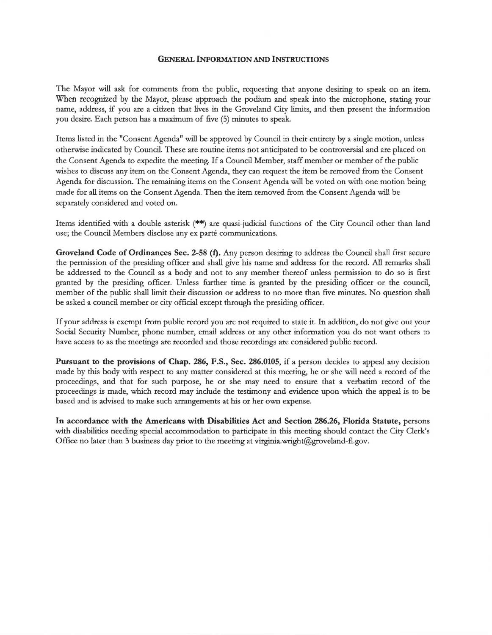#### **GENERAL INFORMATION AND INSTRUCTIONS**

The Mayor will ask for comments from the public, requesting that anyone desiring to speak on an item. When recognized by the Mayor, please approach the podium and speak into the microphone, stating your name, address, if you are a citizen that lives in the Groveland City limits, and then present the information you desire. Each person has a maximum of five (5) minutes to speak.

Items listed in the "Consent Agenda" will be approved by Council in their entirety by a single motion, unless otherwise indicated by Council. These are routine items not anticipated to be controversial and are placed on the Consent Agenda to expedite the meeting. If a Council Member, staff member or member of the public wishes to discuss any item on the Consent Agenda, they can request the item be removed from the Consent Agenda for discussion. The remaining items on the Consent Agenda will be voted on with one motion being made for all items on the Consent Agenda. Then the item removed from the Consent Agenda will be separately considered and voted on.

Items identified with a double asterisk (\*\*) are quasi-judicial functions of the City Council other than land use; the Council Members disclose any ex parté communications.

**Groveland Code of Ordinances Sec. 2-58 (f).** Any person desiring to address the Council shall first secure the permission of the presiding officer and shall give his name and address for the record. All remarks shall be addressed to the Council as a body and not to any member thereof unless permission to do so is first granted by the presiding officer. Unless further time is granted by the presiding officer or the council, member of the public shall limit their discussion or address to no more than five minutes. No question shall be asked a council member or city official except through the presiding officer.

If your address is exempt from public record you are not required to state it. In addition, do not give out your Social Security Number, phone number, email address or any other information you do not want others to have access to as the meetings are recorded and those recordings are considered public record.

**Pursuant to the provisions of Chap. 286, F.S., Sec. 286.0105, if a person decides to appeal any decision** made by this body with respect to any matter considered at this meeting, he or she will need a record of the proceedings, and that for such purpose, he or she may need to ensure that a verbatim record of the proceedings is made, which record may include the testimony and evidence upon which the appeal is to be based and is advised to make such arrangements at his or her own expense.

**In accordance with the Americans with Disabilities Act and Section 286.26, Florida Statute,** persons with disabilities needing special accommodation to participate in this meeting should contact the City Clerk's Office no later than 3 business day prior to the meeting at virginia.wright@groveland-fl.gov.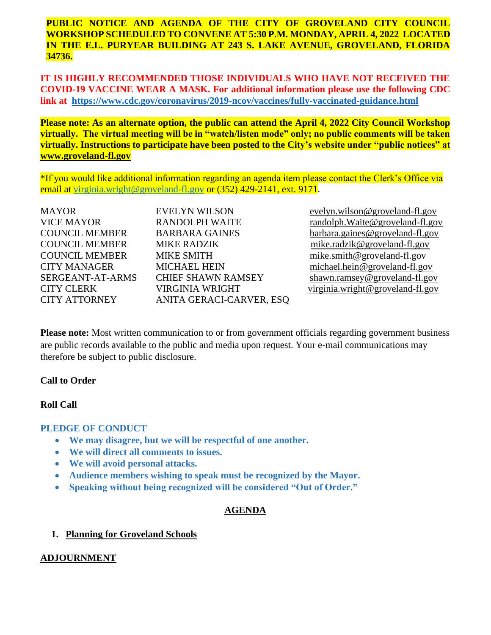**PUBLIC NOTICE AND AGENDA OF THE CITY OF GROVELAND CITY COUNCIL WORKSHOP SCHEDULED TO CONVENE AT 5:30 P.M. MONDAY, APRIL 4, 2022 LOCATED IN THE E.L. PURYEAR BUILDING AT 243 S. LAKE AVENUE, GROVELAND, FLORIDA 34736.** 

 **IT IS HIGHLY RECOMMENDED THOSE INDIVIDUALS WHO HAVE NOT RECEIVED THE COVID-19 VACCINE WEAR A MASK. For additional information please use the following CDC link at <https://www.cdc.gov/coronavirus/2019-ncov/vaccines/fully-vaccinated-guidance.html>**

 **Please note: As an alternate option, the public can attend the April 4, 2022 City Council Workshop virtually. The virtual meeting will be in "watch/listen mode" only; no public comments will be taken virtually. Instructions to participate have been posted to the City's website under "public notices" at [www.groveland-fl.gov](http://www.groveland-fl.gov/)** 

\*If you would like additional information regarding an agenda item please contact the Clerk's Office via email at [virginia.wright@groveland-fl.gov](mailto:virginia.wright@groveland-fl.gov) or (352) 429-2141, ext. 9171.

| <b>MAYOR</b>          | <b>EVELYN WILSON</b>      |
|-----------------------|---------------------------|
| <b>VICE MAYOR</b>     | <b>RANDOLPH WAITE</b>     |
| <b>COUNCIL MEMBER</b> | <b>BARBARA GAINES</b>     |
| <b>COUNCIL MEMBER</b> | <b>MIKE RADZIK</b>        |
| <b>COUNCIL MEMBER</b> | <b>MIKE SMITH</b>         |
| <b>CITY MANAGER</b>   | <b>MICHAEL HEIN</b>       |
| SERGEANT-AT-ARMS      | <b>CHIEF SHAWN RAMSEY</b> |
| <b>CITY CLERK</b>     | <b>VIRGINIA WRIGHT</b>    |
| <b>CITY ATTORNEY</b>  | ANITA GERACI-CARVER, ESQ  |

evelyn.wilson@groveland-fl.gov  $random.Waite@groveland-fl.gov$  $bara.gaines@groveland-fl.gov$ mike.radzik@groveland-fl.gov mike.smith@groveland-fl.gov michael.hein@groveland-fl.gov shawn.ramsey@groveland-fl.gov virginia.wright@groveland-fl.gov

**Please note:** Most written communication to or from government officials regarding government business are public records available to the public and media upon request. Your e-mail communications may therefore be subject to public disclosure.

## **Call to Order**

## **Roll Call**

## **PLEDGE OF CONDUCT**

- **We may disagree, but we will be respectful of one another.**
- **We will direct all comments to issues.**
- **We will avoid personal attacks.**
- **Audience members wishing to speak must be recognized by the Mayor.**
- **Speaking without being recognized will be considered "Out of Order."**

## **AGENDA**

## **1. Planning for Groveland Schools**

## **ADJOURNMENT**